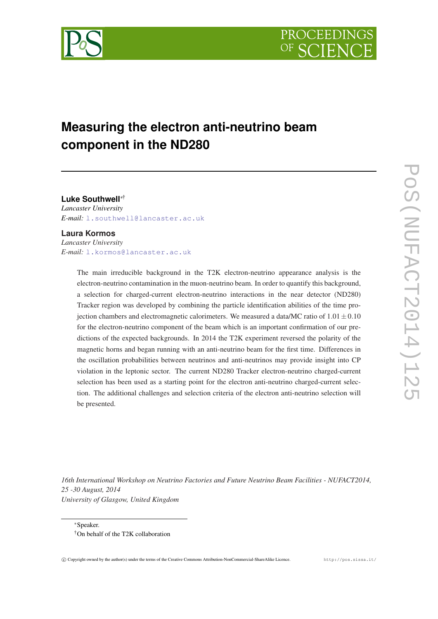

# **Measuring the electron anti-neutrino beam component in the ND280**

**Luke Southwell**∗† *Lancaster University E-mail:* [l.southwell@lancaster.ac.uk](mailto:l.southwell@lancaster.ac.uk)

#### **Laura Kormos**

*Lancaster University E-mail:* [l.kormos@lancaster.ac.uk](mailto:l.kormos@lancaster.ac.uk)

> The main irreducible background in the T2K electron-neutrino appearance analysis is the electron-neutrino contamination in the muon-neutrino beam. In order to quantify this background, a selection for charged-current electron-neutrino interactions in the near detector (ND280) Tracker region was developed by combining the particle identification abilities of the time projection chambers and electromagnetic calorimeters. We measured a data/MC ratio of  $1.01 \pm 0.10$ for the electron-neutrino component of the beam which is an important confirmation of our predictions of the expected backgrounds. In 2014 the T2K experiment reversed the polarity of the magnetic horns and began running with an anti-neutrino beam for the first time. Differences in the oscillation probabilities between neutrinos and anti-neutrinos may provide insight into CP violation in the leptonic sector. The current ND280 Tracker electron-neutrino charged-current selection has been used as a starting point for the electron anti-neutrino charged-current selection. The additional challenges and selection criteria of the electron anti-neutrino selection will be presented.

*16th International Workshop on Neutrino Factories and Future Neutrino Beam Facilities - NUFACT2014, 25 -30 August, 2014 University of Glasgow, United Kingdom*

<sup>∗</sup>Speaker. †On behalf of the T2K collaboration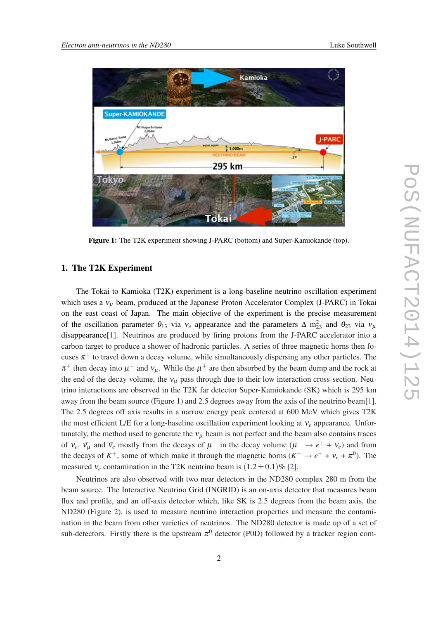

Figure 1: The T2K experiment showing J-PARC (bottom) and Super-Kamiokande (top).

#### 1. The T2K Experiment

The Tokai to Kamioka (T2K) experiment is a long-baseline neutrino oscillation experiment which uses a  $v_{\mu}$  beam, produced at the Japanese Proton Accelerator Complex (J-PARC) in Tokai on the east coast of Japan. The main objective of the experiment is the precise measurement of the oscillation parameter  $\theta_{13}$  via  $v_e$  appearance and the parameters  $\Delta m_{23}^2$  and  $\theta_{23}$  via  $v_\mu$ disappearance[[1](#page-5-0)]. Neutrinos are produced by firing protons from the J-PARC accelerator into a carbon target to produce a shower of hadronic particles. A series of three magnetic horns then focuses  $\pi^{+}$  to travel down a decay volume, while simultaneously dispersing any other particles. The  $\pi^+$  then decay into  $\mu^+$  and  $v_\mu$ . While the  $\mu^+$  are then absorbed by the beam dump and the rock at the end of the decay volume, the  $v_{\mu}$  pass through due to their low interaction cross-section. Neutrino interactions are observed in the T2K far detector Super-Kamiokande (SK) which is 295 km away from the beam source (Figure 1) and 2.5 degrees away from the axis of the neutrino beam[\[1\]](#page-5-0). The 2.5 degrees off axis results in a narrow energy peak centered at 600 MeV which gives T2K the most efficient L/E for a long-baseline oscillation experiment looking at ν*<sup>e</sup>* appearance. Unfortunately, the method used to generate the  $v_{\mu}$  beam is not perfect and the beam also contains traces of  $v_e$ ,  $\bar{v_\mu}$  and  $\bar{v_e}$  mostly from the decays of  $\mu^+$  in the decay volume  $(\mu^+ \to e^+ + v_e)$  and from the decays of  $K^+$ , some of which make it through the magnetic horns  $(K^+ \to e^+ + v_e + \pi^0)$ . The measured  $v_e$  contamination in the T2K neutrino beam is  $(1.2 \pm 0.1)\%$  [\[2\]](#page-7-0).

Neutrinos are also observed with two near detectors in the ND280 complex 280 m from the beam source. The Interactive Neutrino Grid (INGRID) is an on-axis detector that measures beam flux and profile, and an off-axis detector which, like SK is 2.5 degrees from the beam axis, the ND280 (Figure 2), is used to measure neutrino interaction properties and measure the contamination in the beam from other varieties of neutrinos. The ND280 detector is made up of a set of sub-detectors. Firstly there is the upstream  $\pi^0$  detector (P0D) followed by a tracker region com-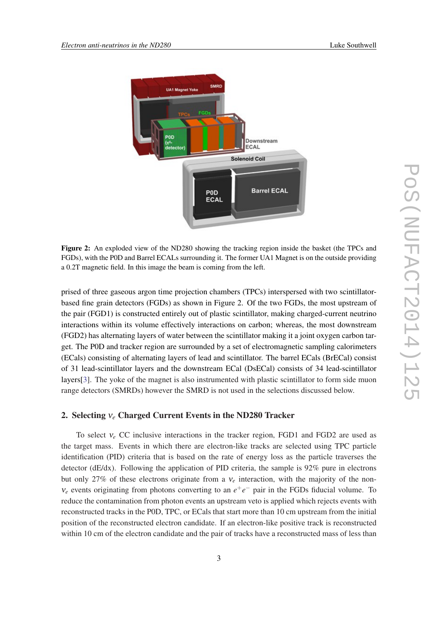

Figure 2: An exploded view of the ND280 showing the tracking region inside the basket (the TPCs and FGDs), with the P0D and Barrel ECALs surrounding it. The former UA1 Magnet is on the outside providing a 0.2T magnetic field. In this image the beam is coming from the left.

prised of three gaseous argon time projection chambers (TPCs) interspersed with two scintillatorbased fine grain detectors (FGDs) as shown in Figure 2. Of the two FGDs, the most upstream of the pair (FGD1) is constructed entirely out of plastic scintillator, making charged-current neutrino interactions within its volume effectively interactions on carbon; whereas, the most downstream (FGD2) has alternating layers of water between the scintillator making it a joint oxygen carbon target. The P0D and tracker region are surrounded by a set of electromagnetic sampling calorimeters (ECals) consisting of alternating layers of lead and scintillator. The barrel ECals (BrECal) consist of 31 lead-scintillator layers and the downstream ECal (DsECal) consists of 34 lead-scintillator layers[\[3](#page-7-0)]. The yoke of the magnet is also instrumented with plastic scintillator to form side muon range detectors (SMRDs) however the SMRD is not used in the selections discussed below.

#### 2. Selecting ν*<sup>e</sup>* Charged Current Events in the ND280 Tracker

To select ν*<sup>e</sup>* CC inclusive interactions in the tracker region, FGD1 and FGD2 are used as the target mass. Events in which there are electron-like tracks are selected using TPC particle identification (PID) criteria that is based on the rate of energy loss as the particle traverses the detector (dE/dx). Following the application of PID criteria, the sample is 92% pure in electrons but only 27% of these electrons originate from a ν*<sup>e</sup>* interaction, with the majority of the non $v_e$  events originating from photons converting to an  $e^+e^-$  pair in the FGDs fiducial volume. To reduce the contamination from photon events an upstream veto is applied which rejects events with reconstructed tracks in the P0D, TPC, or ECals that start more than 10 cm upstream from the initial position of the reconstructed electron candidate. If an electron-like positive track is reconstructed within 10 cm of the electron candidate and the pair of tracks have a reconstructed mass of less than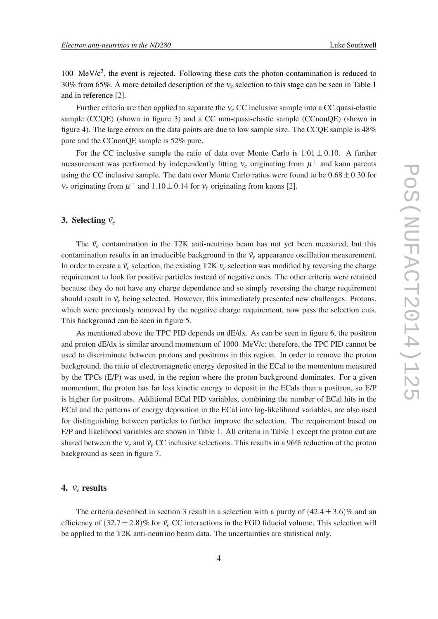100 MeV/c<sup>2</sup>, the event is rejected. Following these cuts the photon contamination is reduced to 30% from 65%. A more detailed description of the ν*<sup>e</sup>* selection to this stage can be seen in Table 1 and in reference [[2](#page-7-0)].

Further criteria are then applied to separate the ν*<sup>e</sup>* CC inclusive sample into a CC quasi-elastic sample (CCOE) (shown in figure 3) and a CC non-quasi-elastic sample (CCnonOE) (shown in figure 4). The large errors on the data points are due to low sample size. The CCQE sample is 48% pure and the CCnonQE sample is 52% pure.

For the CC inclusive sample the ratio of data over Monte Carlo is  $1.01 \pm 0.10$ . A further measurement was performed by independently fitting  $v_e$  originating from  $\mu^+$  and kaon parents using the CC inclusive sample. The data over Monte Carlo ratios were found to be  $0.68 \pm 0.30$  for  $v_e$  originating from  $\mu^+$  and  $1.10 \pm 0.14$  for  $v_e$  originating from kaons [[2](#page-7-0)].

# 3. Selecting  $\bar{v}_e$

The  $\bar{v}_e$  contamination in the T2K anti-neutrino beam has not yet been measured, but this contamination results in an irreducible background in the  $\bar{v}_e$  appearance oscillation measurement. In order to create a  $\bar{v}_e$  selection, the existing T2K  $v_e$  selection was modified by reversing the charge requirement to look for positive particles instead of negative ones. The other criteria were retained because they do not have any charge dependence and so simply reversing the charge requirement should result in  $\bar{v}_e$  being selected. However, this immediately presented new challenges. Protons, which were previously removed by the negative charge requirement, now pass the selection cuts. This background can be seen in figure 5.

As mentioned above the TPC PID depends on dE/dx. As can be seen in figure 6, the positron and proton dE/dx is similar around momentum of 1000 MeV/c; therefore, the TPC PID cannot be used to discriminate between protons and positrons in this region. In order to remove the proton background, the ratio of electromagnetic energy deposited in the ECal to the momentum measured by the TPCs (E/P) was used, in the region where the proton background dominates. For a given momentum, the proton has far less kinetic energy to deposit in the ECals than a positron, so E/P is higher for positrons. Additional ECal PID variables, combining the number of ECal hits in the ECal and the patterns of energy deposition in the ECal into log-likelihood variables, are also used for distinguishing between particles to further improve the selection. The requirement based on E/P and likelihood variables are shown in Table 1. All criteria in Table 1 except the proton cut are shared between the  $v_e$  and  $\bar{v}_e$  CC inclusive selections. This results in a 96% reduction of the proton background as seen in figure 7.

# 4.  $\bar{v_e}$  results

The criteria described in section 3 result in a selection with a purity of  $(42.4 \pm 3.6)\%$  and an efficiency of  $(32.7 \pm 2.8)\%$  for  $\bar{v}_e$  CC interactions in the FGD fiducial volume. This selection will be applied to the T2K anti-neutrino beam data. The uncertainties are statistical only.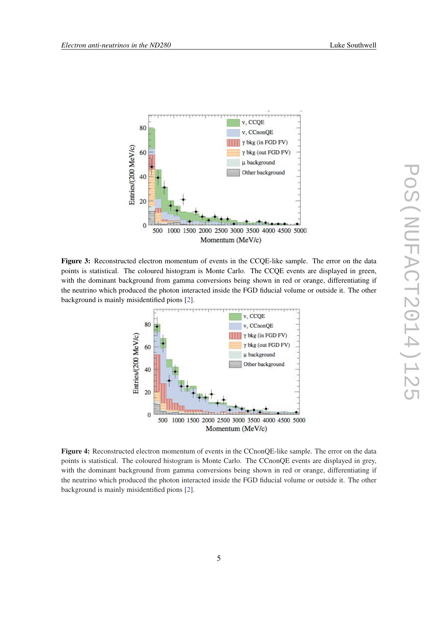

Figure 3: Reconstructed electron momentum of events in the CCQE-like sample. The error on the data points is statistical. The coloured histogram is Monte Carlo. The CCQE events are displayed in green, with the dominant background from gamma conversions being shown in red or orange, differentiating if the neutrino which produced the photon interacted inside the FGD fiducial volume or outside it. The other background is mainly misidentified pions [\[2](#page-7-0)].



Figure 4: Reconstructed electron momentum of events in the CCnonQE-like sample. The error on the data points is statistical. The coloured histogram is Monte Carlo. The CCnonQE events are displayed in grey, with the dominant background from gamma conversions being shown in red or orange, differentiating if the neutrino which produced the photon interacted inside the FGD fiducial volume or outside it. The other background is mainly misidentified pions [\[2](#page-7-0)].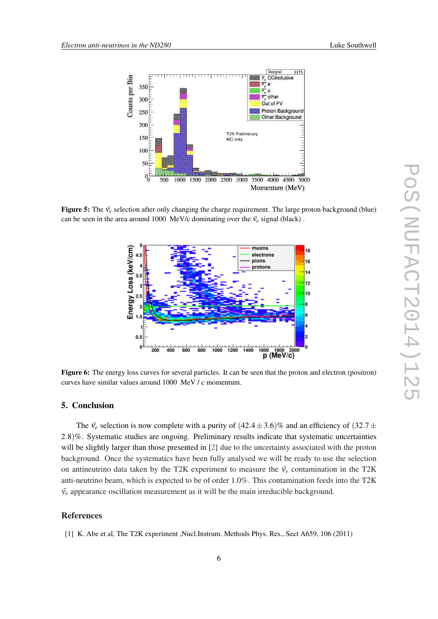<span id="page-5-0"></span>

**Figure 5:** The  $\bar{v}_e$  selection after only changing the charge requirement. The large proton background (blue) can be seen in the area around 1000 MeV/c dominating over the  $\bar{v}_e$  signal (black).



Figure 6: The energy loss curves for several particles. It can be seen that the proton and electron (positron) curves have similar values around 1000 MeV / c momentum.

## 5. Conclusion

The  $\bar{v}_e$  selection is now complete with a purity of  $(42.4 \pm 3.6)\%$  and an efficiency of  $(32.7 \pm 1.6)\%$ 2.8)%. Systematic studies are ongoing. Preliminary results indicate that systematic uncertainties will be slightly larger than those presented in [\[2\]](#page-7-0) due to the uncertainty associated with the proton background. Once the systematics have been fully analysed we will be ready to use the selection on antineutrino data taken by the T2K experiment to measure the  $\bar{v}_e$  contamination in the T2K anti-neutrino beam, which is expected to be of order 1.0%. This contamination feeds into the T2K  $\bar{v}_e$  appearance oscillation measurement as it will be the main irreducible background.

# References

[1] K. Abe et al, The T2K experiment ,Nucl.Instrum. Methods Phys. Res., Sect A659, 106 (2011)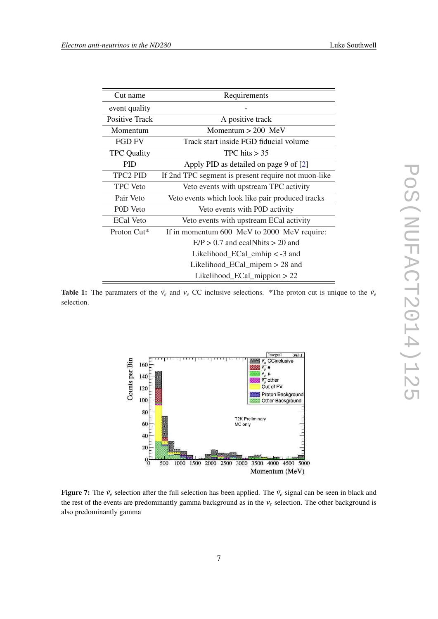| Cut name              | Requirements                                        |
|-----------------------|-----------------------------------------------------|
| event quality         |                                                     |
| <b>Positive Track</b> | A positive track                                    |
| Momentum              | Momentum $> 200$ MeV                                |
| <b>FGD FV</b>         | Track start inside FGD fiducial volume              |
| <b>TPC Quality</b>    | TPC hits $> 35$                                     |
| <b>PID</b>            | Apply PID as detailed on page 9 of [2]              |
| <b>TPC2 PID</b>       | If 2nd TPC segment is present require not muon-like |
| <b>TPC</b> Veto       | Veto events with upstream TPC activity              |
| Pair Veto             | Veto events which look like pair produced tracks    |
| POD Veto              | Veto events with P0D activity                       |
| <b>ECal Veto</b>      | Veto events with upstream ECal activity             |
| Proton Cut*           | If in momentum 600 MeV to 2000 MeV require:         |
|                       | $E/P > 0.7$ and ecal Nhits $> 20$ and               |
|                       | Likelihood $\_ECal\_embip < -3$ and                 |
|                       | Likelihood_ECal_mipem $> 28$ and                    |
|                       | Likelihood_ECal_mippion $> 22$                      |

Table 1: The paramaters of the  $\bar{v}_e$  and  $v_e$  CC inclusive selections. \*The proton cut is unique to the  $\bar{v}_e$ selection.



Figure 7: The  $\bar{v}_e$  selection after the full selection has been applied. The  $\bar{v}_e$  signal can be seen in black and the rest of the events are predominantly gamma background as in the ν*<sup>e</sup>* selection. The other background is also predominantly gamma